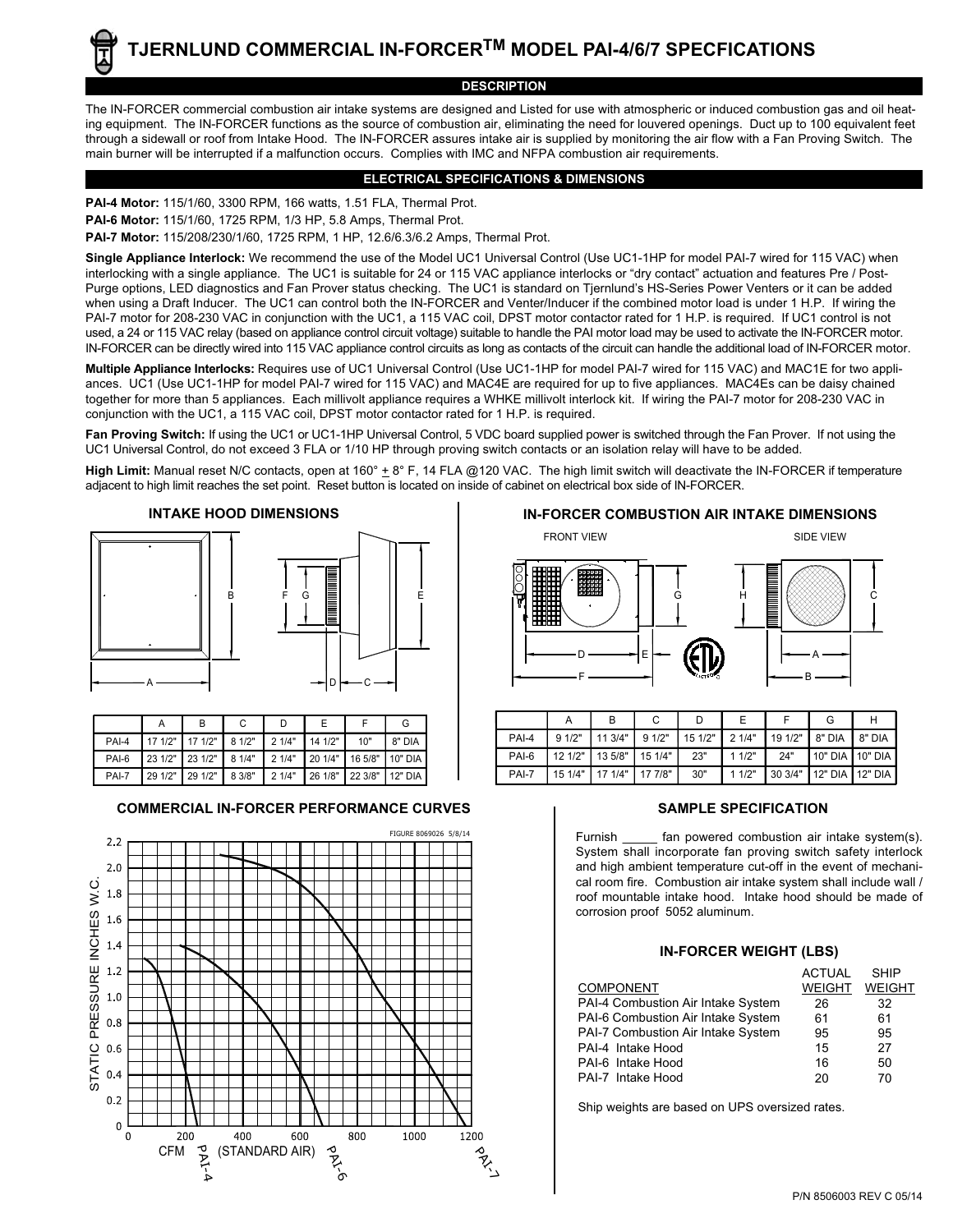**DESCRIPTION** The IN-FORCER commercial combustion air intake systems are designed and Listed for use with atmospheric or induced combustion gas and oil heating equipment. The IN-FORCER functions as the source of combustion air, eliminating the need for louvered openings. Duct up to 100 equivalent feet through a sidewall or roof from Intake Hood. The IN-FORCER assures intake air is supplied by monitoring the air flow with a Fan Proving Switch. The main burner will be interrupted if a malfunction occurs. Complies with IMC and NFPA combustion air requirements.

### **ELECTRICAL SPECIFICATIONS & DIMENSIONS**

**PAI-4 Motor:** 115/1/60, 3300 RPM, 166 watts, 1.51 FLA, Thermal Prot. **PAI-6 Motor:** 115/1/60, 1725 RPM, 1/3 HP, 5.8 Amps, Thermal Prot. **PAI-7 Motor:** 115/208/230/1/60, 1725 RPM, 1 HP, 12.6/6.3/6.2 Amps, Thermal Prot.

**Single Appliance Interlock:** We recommend the use of the Model UC1 Universal Control (Use UC1-1HP for model PAI-7 wired for 115 VAC) when interlocking with a single appliance. The UC1 is suitable for 24 or 115 VAC appliance interlocks or "dry contact" actuation and features Pre / Post-Purge options, LED diagnostics and Fan Prover status checking. The UC1 is standard on Tjernlund's HS-Series Power Venters or it can be added when using a Draft Inducer. The UC1 can control both the IN-FORCER and Venter/Inducer if the combined motor load is under 1 H.P. If wiring the PAI-7 motor for 208-230 VAC in conjunction with the UC1, a 115 VAC coil, DPST motor contactor rated for 1 H.P. is required. If UC1 control is not used, a 24 or 115 VAC relay (based on appliance control circuit voltage) suitable to handle the PAI motor load may be used to activate the IN-FORCER motor. IN-FORCER can be directly wired into 115 VAC appliance control circuits as long as contacts of the circuit can handle the additional load of IN-FORCER motor.

**Multiple Appliance Interlocks:** Requires use of UC1 Universal Control (Use UC1-1HP for model PAI-7 wired for 115 VAC) and MAC1E for two appliances. UC1 (Use UC1-1HP for model PAI-7 wired for 115 VAC) and MAC4E are required for up to five appliances. MAC4Es can be daisy chained together for more than 5 appliances. Each millivolt appliance requires a WHKE millivolt interlock kit. If wiring the PAI-7 motor for 208-230 VAC in conjunction with the UC1, a 115 VAC coil, DPST motor contactor rated for 1 H.P. is required.

**Fan Proving Switch:** If using the UC1 or UC1-1HP Universal Control, 5 VDC board supplied power is switched through the Fan Prover. If not using the UC1 Universal Control, do not exceed 3 FLA or 1/10 HP through proving switch contacts or an isolation relay will have to be added.

High Limit: Manual reset N/C contacts, open at 160° ± 8° F, 14 FLA @120 VAC. The high limit switch will deactivate the IN-FORCER if temperature adjacent to high limit reaches the set point. Reset button is located on inside of cabinet on electrical box side of IN-FORCER.



|       |         |                            |        | D     |                         |     |           |
|-------|---------|----------------------------|--------|-------|-------------------------|-----|-----------|
| PAI-4 | 17 1/2" | $171/2"$ 8 1/2"            |        | 21/4" | 141/2"                  | 10" | 8" DIA    |
| PAI-6 |         | 23 1/2"   23 1/2"   8 1/4" |        | 21/4" | 20 1/4" 16 5/8" 10" DIA |     |           |
| PAI-7 | 29 1/2" | 29 1/2"                    | 8 3/8" | 21/4" | 26 1/8" 22 3/8"         |     | $12"$ DIA |

# **COMMERCIAL IN-FORCER PERFORMANCE CURVES**





| PAI-4 | 91/2"                       | $113/4"$ 9 1/2" | $151/2"$ 21/4" |       |     | 19 1/2"   8" DIA   8" DIA   |  |
|-------|-----------------------------|-----------------|----------------|-------|-----|-----------------------------|--|
| PAI-6 | 12 1/2"   13 5/8"   15 1/4" |                 | 23"            | 11/2" | 24" | 110" DIA 110" DIA           |  |
| PAI-7 | 15 1/4"   17 1/4"   17 7/8" |                 | 30"            | 11/2" |     | 30 3/4"   12" DIA   12" DIA |  |

# **SAMPLE SPECIFICATION**

Furnish fan powered combustion air intake system(s). System shall incorporate fan proving switch safety interlock and high ambient temperature cut-off in the event of mechanical room fire. Combustion air intake system shall include wall / roof mountable intake hood. Intake hood should be made of corrosion proof 5052 aluminum.

|                                    | <b>ACTUAL</b> | <b>SHIP</b>   |
|------------------------------------|---------------|---------------|
| <b>COMPONENT</b>                   | <b>WEIGHT</b> | <b>WEIGHT</b> |
| PAI-4 Combustion Air Intake System | 26            | 32            |
| PAI-6 Combustion Air Intake System | 61            | 61            |
| PAI-7 Combustion Air Intake System | 95            | 95            |
| PAI-4 Intake Hood                  | 15            | 27            |
| PAI-6 Intake Hood                  | 16            | 50            |
| PAI-7 Intake Hood                  | 20            | 70            |

Ship weights are based on UPS oversized rates.